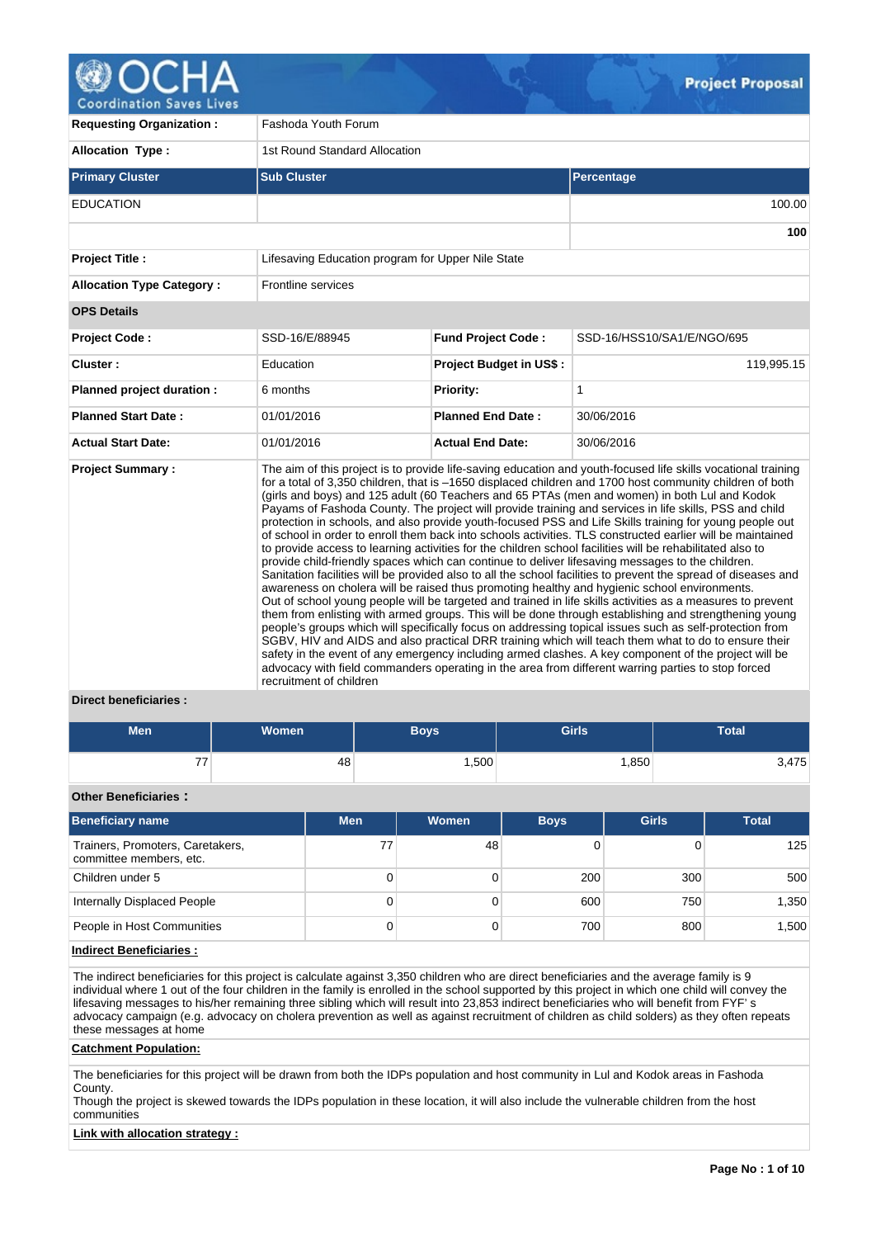

**Requesting Organization : Fashoda Youth Forum Allocation Type :** 1st Round Standard Allocation **Primary Cluster Sub Cluster Sub Cluster** Sub Cluster Sub Cluster Sub Cluster Sub Cluster Sub Cluster Sub Cluster EDUCATION 100.00 **100 Project Title : Lifesaving Education program for Upper Nile State Allocation Type Category :** Frontline services **OPS Details Project Code :** SSD-16/E/88945 **Fund Project Code :** SSD-16/HSS10/SA1/E/NGO/695 **Cluster :** The Education **Project Budget in US\$ :** 119,995.15 **Planned project duration :** 6 months **Priority:** 1 **Planned Start Date :** 01/01/2016 **Planned End Date :** 30/06/2016 **Actual Start Date:** 01/01/2016 **Actual End Date:** 30/06/2016 **Project Summary :** The aim of this project is to provide life-saving education and youth-focused life skills vocational training for a total of 3,350 children, that is –1650 displaced children and 1700 host community children of both (girls and boys) and 125 adult (60 Teachers and 65 PTAs (men and women) in both Lul and Kodok Payams of Fashoda County. The project will provide training and services in life skills, PSS and child protection in schools, and also provide youth-focused PSS and Life Skills training for young people out of school in order to enroll them back into schools activities. TLS constructed earlier will be maintained to provide access to learning activities for the children school facilities will be rehabilitated also to provide child-friendly spaces which can continue to deliver lifesaving messages to the children. Sanitation facilities will be provided also to all the school facilities to prevent the spread of diseases and awareness on cholera will be raised thus promoting healthy and hygienic school environments. Out of school young people will be targeted and trained in life skills activities as a measures to prevent them from enlisting with armed groups. This will be done through establishing and strengthening young people's groups which will specifically focus on addressing topical issues such as self-protection from SGBV, HIV and AIDS and also practical DRR training which will teach them what to do to ensure their safety in the event of any emergency including armed clashes. A key component of the project will be advocacy with field commanders operating in the area from different warring parties to stop forced recruitment of children

# **Direct beneficiaries :**

| <b>Men</b>                                                  | <b>Women</b> |            |    | <b>Boys</b> | <b>Girls</b> |       |              | <b>Total</b> |  |  |
|-------------------------------------------------------------|--------------|------------|----|-------------|--------------|-------|--------------|--------------|--|--|
| 77                                                          |              | 48         |    | 1,500       |              | 1,850 |              | 3,475        |  |  |
| <b>Other Beneficiaries:</b>                                 |              |            |    |             |              |       |              |              |  |  |
| <b>Beneficiary name</b>                                     |              | <b>Men</b> |    | Women       | <b>Boys</b>  |       | <b>Girls</b> | <b>Total</b> |  |  |
| Trainers, Promoters, Caretakers,<br>committee members, etc. |              |            | 77 | 48          |              |       | 0            | 125          |  |  |
| Children under 5                                            |              |            | 0  | 0           | 200          |       | 300          | 500          |  |  |
| <b>Internally Displaced People</b>                          |              |            | 0  | $\Omega$    | 600          |       | 750          | 1,350        |  |  |
| People in Host Communities                                  |              |            | 0  |             | 700          |       | 800          | 1,500        |  |  |

# **Indirect Beneficiaries :**

The indirect beneficiaries for this project is calculate against 3,350 children who are direct beneficiaries and the average family is 9 individual where 1 out of the four children in the family is enrolled in the school supported by this project in which one child will convey the lifesaving messages to his/her remaining three sibling which will result into 23,853 indirect beneficiaries who will benefit from FYF' s advocacy campaign (e.g. advocacy on cholera prevention as well as against recruitment of children as child solders) as they often repeats these messages at home

#### **Catchment Population:**

The beneficiaries for this project will be drawn from both the IDPs population and host community in Lul and Kodok areas in Fashoda County.

Though the project is skewed towards the IDPs population in these location, it will also include the vulnerable children from the host communities

# **Link with allocation strategy :**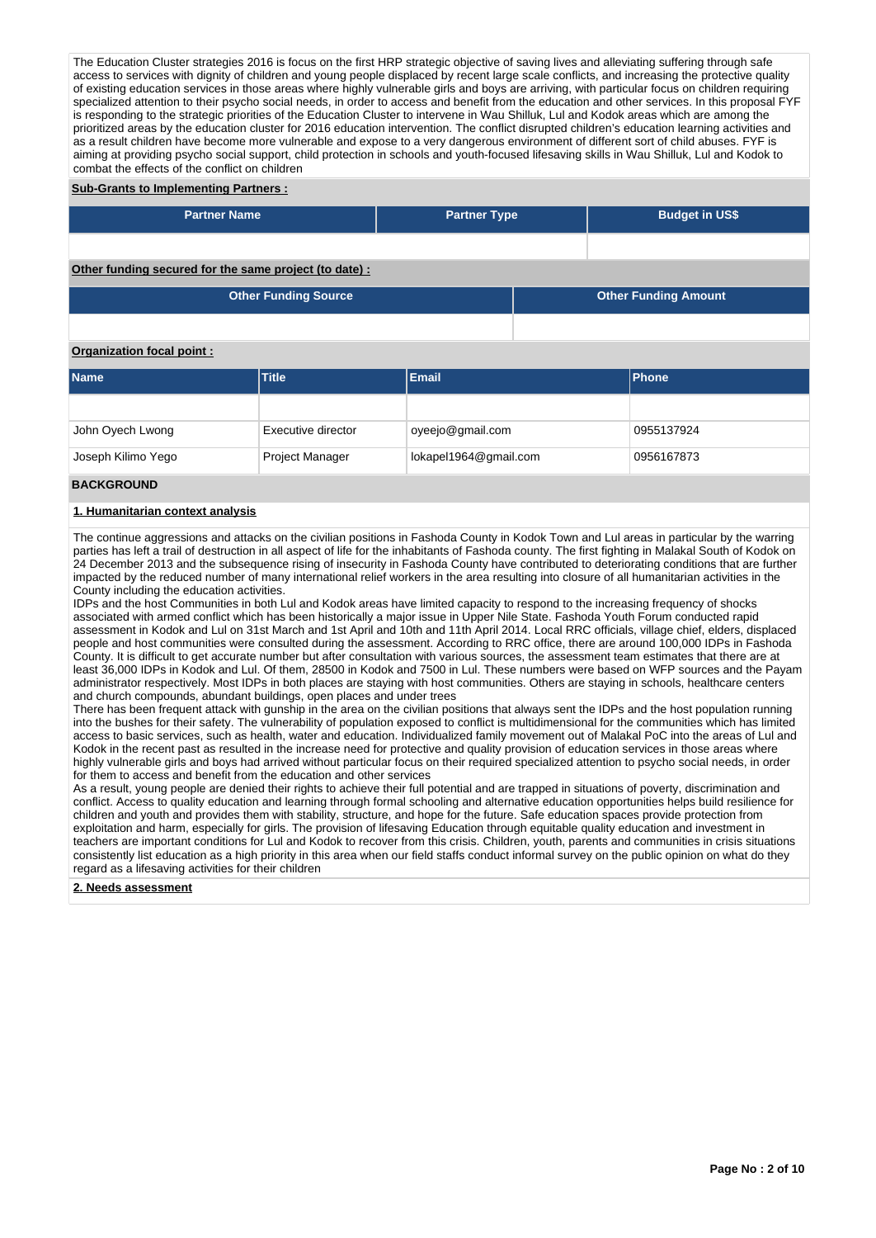The Education Cluster strategies 2016 is focus on the first HRP strategic objective of saving lives and alleviating suffering through safe access to services with dignity of children and young people displaced by recent large scale conflicts, and increasing the protective quality of existing education services in those areas where highly vulnerable girls and boys are arriving, with particular focus on children requiring specialized attention to their psycho social needs, in order to access and benefit from the education and other services. In this proposal FYF is responding to the strategic priorities of the Education Cluster to intervene in Wau Shilluk, Lul and Kodok areas which are among the prioritized areas by the education cluster for 2016 education intervention. The conflict disrupted children's education learning activities and as a result children have become more vulnerable and expose to a very dangerous environment of different sort of child abuses. FYF is aiming at providing psycho social support, child protection in schools and youth-focused lifesaving skills in Wau Shilluk, Lul and Kodok to combat the effects of the conflict on children

#### **Sub-Grants to Implementing Partners :**

| <b>Partner Name</b>                                   | <b>Partner Type</b> | <b>Budget in US\$</b>       |
|-------------------------------------------------------|---------------------|-----------------------------|
|                                                       |                     |                             |
| Other funding secured for the same project (to date): |                     |                             |
| <b>Other Funding Source</b>                           |                     | <b>Other Funding Amount</b> |

# **Organization focal point :**

| <b>Name</b>        | <b>Title</b>           | <b>Email</b>          | <b>IPhone</b> |
|--------------------|------------------------|-----------------------|---------------|
|                    |                        |                       |               |
| John Oyech Lwong   | Executive director     | oyeejo@gmail.com      | 0955137924    |
| Joseph Kilimo Yego | <b>Project Manager</b> | lokapel1964@gmail.com | 0956167873    |

#### **BACKGROUND**

#### **1. Humanitarian context analysis**

The continue aggressions and attacks on the civilian positions in Fashoda County in Kodok Town and Lul areas in particular by the warring parties has left a trail of destruction in all aspect of life for the inhabitants of Fashoda county. The first fighting in Malakal South of Kodok on 24 December 2013 and the subsequence rising of insecurity in Fashoda County have contributed to deteriorating conditions that are further impacted by the reduced number of many international relief workers in the area resulting into closure of all humanitarian activities in the County including the education activities.

IDPs and the host Communities in both Lul and Kodok areas have limited capacity to respond to the increasing frequency of shocks associated with armed conflict which has been historically a major issue in Upper Nile State. Fashoda Youth Forum conducted rapid assessment in Kodok and Lul on 31st March and 1st April and 10th and 11th April 2014. Local RRC officials, village chief, elders, displaced people and host communities were consulted during the assessment. According to RRC office, there are around 100,000 IDPs in Fashoda County. It is difficult to get accurate number but after consultation with various sources, the assessment team estimates that there are at least 36,000 IDPs in Kodok and Lul. Of them, 28500 in Kodok and 7500 in Lul. These numbers were based on WFP sources and the Payam administrator respectively. Most IDPs in both places are staying with host communities. Others are staying in schools, healthcare centers and church compounds, abundant buildings, open places and under trees

There has been frequent attack with gunship in the area on the civilian positions that always sent the IDPs and the host population running into the bushes for their safety. The vulnerability of population exposed to conflict is multidimensional for the communities which has limited access to basic services, such as health, water and education. Individualized family movement out of Malakal PoC into the areas of Lul and Kodok in the recent past as resulted in the increase need for protective and quality provision of education services in those areas where highly vulnerable girls and boys had arrived without particular focus on their required specialized attention to psycho social needs, in order for them to access and benefit from the education and other services

As a result, young people are denied their rights to achieve their full potential and are trapped in situations of poverty, discrimination and conflict. Access to quality education and learning through formal schooling and alternative education opportunities helps build resilience for children and youth and provides them with stability, structure, and hope for the future. Safe education spaces provide protection from exploitation and harm, especially for girls. The provision of lifesaving Education through equitable quality education and investment in teachers are important conditions for Lul and Kodok to recover from this crisis. Children, youth, parents and communities in crisis situations consistently list education as a high priority in this area when our field staffs conduct informal survey on the public opinion on what do they regard as a lifesaving activities for their children

## **2. Needs assessment**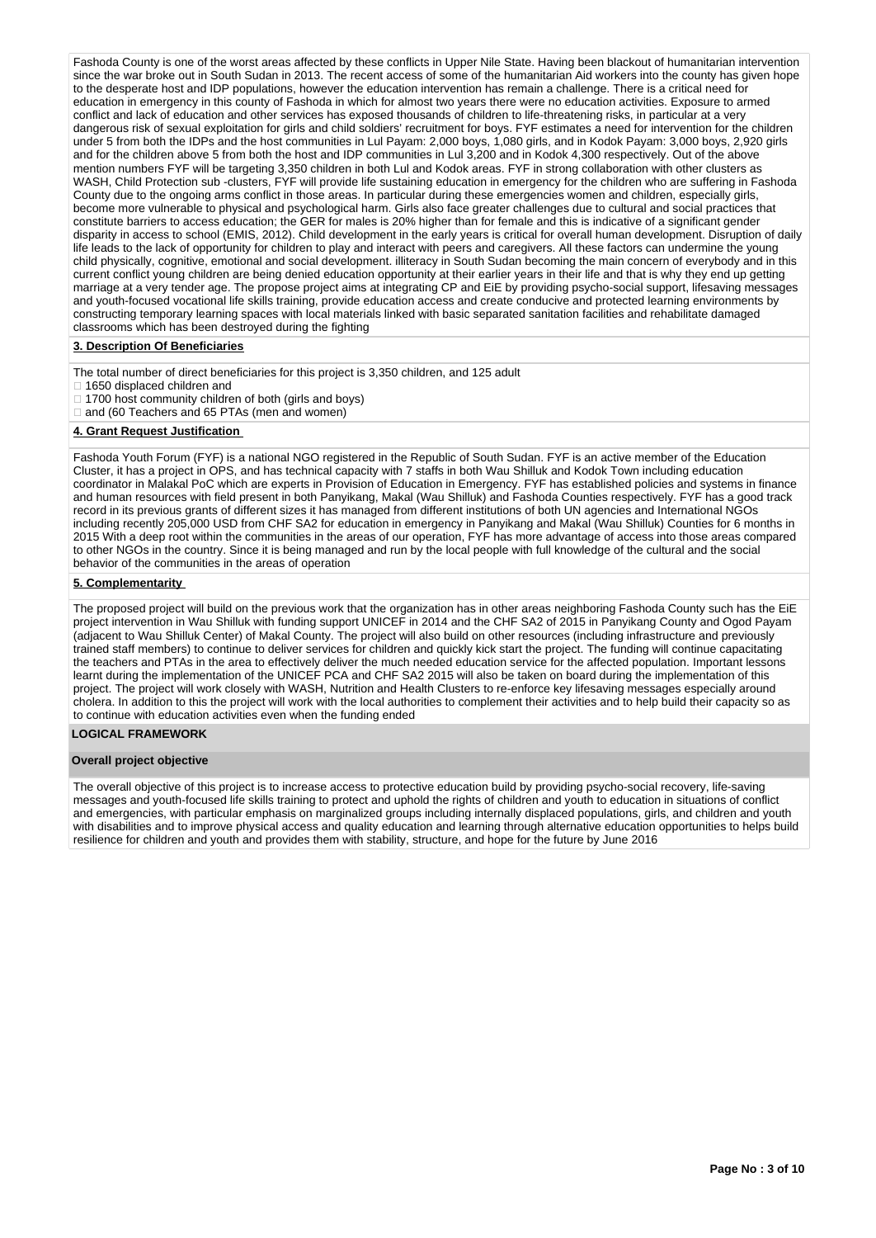Fashoda County is one of the worst areas affected by these conflicts in Upper Nile State. Having been blackout of humanitarian intervention since the war broke out in South Sudan in 2013. The recent access of some of the humanitarian Aid workers into the county has given hope to the desperate host and IDP populations, however the education intervention has remain a challenge. There is a critical need for education in emergency in this county of Fashoda in which for almost two years there were no education activities. Exposure to armed conflict and lack of education and other services has exposed thousands of children to life-threatening risks, in particular at a very dangerous risk of sexual exploitation for girls and child soldiers' recruitment for boys. FYF estimates a need for intervention for the children under 5 from both the IDPs and the host communities in Lul Payam: 2,000 boys, 1,080 girls, and in Kodok Payam: 3,000 boys, 2,920 girls and for the children above 5 from both the host and IDP communities in Lul 3,200 and in Kodok 4,300 respectively. Out of the above and IDP communities in Lul 3,200 and in Kodok 4,300 respectively. Out of the above mention numbers FYF will be targeting 3,350 children in both Lul and Kodok areas. FYF in strong collaboration with other clusters as WASH, Child Protection sub -clusters, FYF will provide life sustaining education in emergency for the children who are suffering in Fashoda County due to the ongoing arms conflict in those areas. In particular during these emergencies women and children, especially girls, become more vulnerable to physical and psychological harm. Girls also face greater challenges due to cultural and social practices that constitute barriers to access education; the GER for males is 20% higher than for female and this is indicative of a significant gender disparity in access to school (EMIS, 2012). Child development in the early years is critical for overall human development. Disruption of daily life leads to the lack of opportunity for children to play and interact with peers and caregivers. All these factors can undermine the young child physically, cognitive, emotional and social development. illiteracy in South Sudan becoming the main concern of everybody and in this current conflict young children are being denied education opportunity at their earlier years in their life and that is why they end up getting marriage at a very tender age. The propose project aims at integrating CP and EiE by providing psycho-social support, lifesaving messages and youth-focused vocational life skills training, provide education access and create conducive and protected learning environments by constructing temporary learning spaces with local materials linked with basic separated sanitation facilities and rehabilitate damaged classrooms which has been destroyed during the fighting

#### **3. Description Of Beneficiaries**

The total number of direct beneficiaries for this project is 3,350 children, and 125 adult

□ 1650 displaced children and

- □ 1700 host community children of both (girls and boys)
- □ and (60 Teachers and 65 PTAs (men and women)

#### **4. Grant Request Justification**

Fashoda Youth Forum (FYF) is a national NGO registered in the Republic of South Sudan. FYF is an active member of the Education Cluster, it has a project in OPS, and has technical capacity with 7 staffs in both Wau Shilluk and Kodok Town including education coordinator in Malakal PoC which are experts in Provision of Education in Emergency. FYF has established policies and systems in finance and human resources with field present in both Panyikang, Makal (Wau Shilluk) and Fashoda Counties respectively. FYF has a good track record in its previous grants of different sizes it has managed from different institutions of both UN agencies and International NGOs including recently 205,000 USD from CHF SA2 for education in emergency in Panyikang and Makal (Wau Shilluk) Counties for 6 months in 2015 With a deep root within the communities in the areas of our operation, FYF has more advantage of access into those areas compared to other NGOs in the country. Since it is being managed and run by the local people with full knowledge of the cultural and the social behavior of the communities in the areas of operation

#### **5. Complementarity**

The proposed project will build on the previous work that the organization has in other areas neighboring Fashoda County such has the EiE project intervention in Wau Shilluk with funding support UNICEF in 2014 and the CHF SA2 of 2015 in Panyikang County and Ogod Payam (adjacent to Wau Shilluk Center) of Makal County. The project will also build on other resources (including infrastructure and previously trained staff members) to continue to deliver services for children and quickly kick start the project. The funding will continue capacitating the teachers and PTAs in the area to effectively deliver the much needed education service for the affected population. Important lessons learnt during the implementation of the UNICEF PCA and CHF SA2 2015 will also be taken on board during the implementation of this project. The project will work closely with WASH, Nutrition and Health Clusters to re-enforce key lifesaving messages especially around cholera. In addition to this the project will work with the local authorities to complement their activities and to help build their capacity so as to continue with education activities even when the funding ended

# **LOGICAL FRAMEWORK**

#### **Overall project objective**

The overall objective of this project is to increase access to protective education build by providing psycho-social recovery, life-saving messages and youth-focused life skills training to protect and uphold the rights of children and youth to education in situations of conflict and emergencies, with particular emphasis on marginalized groups including internally displaced populations, girls, and children and youth with disabilities and to improve physical access and quality education and learning through alternative education opportunities to helps build resilience for children and youth and provides them with stability, structure, and hope for the future by June 2016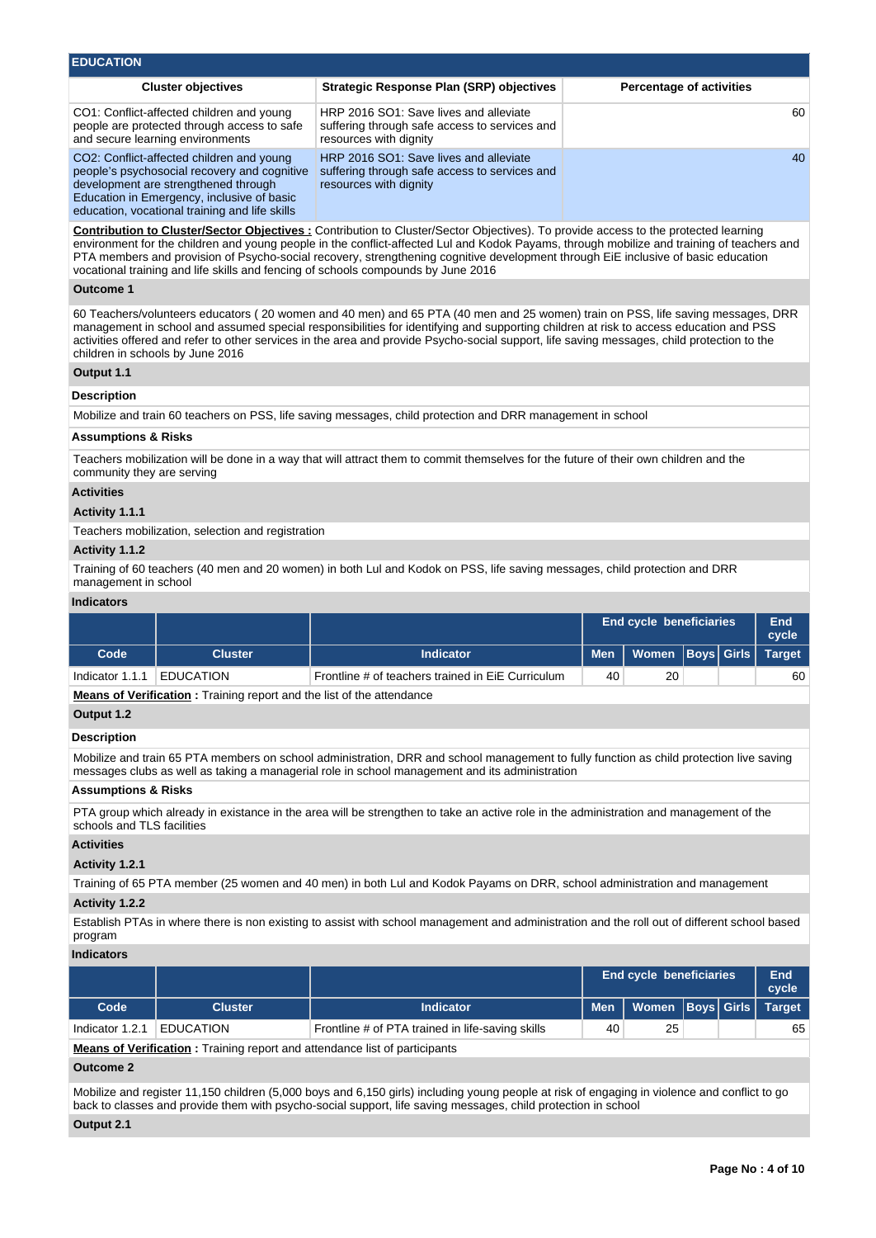| <b>EDUCATION</b>                                                                                                                                                                |                                                                                                                   |                                 |  |  |  |  |  |  |  |
|---------------------------------------------------------------------------------------------------------------------------------------------------------------------------------|-------------------------------------------------------------------------------------------------------------------|---------------------------------|--|--|--|--|--|--|--|
| <b>Cluster objectives</b>                                                                                                                                                       | <b>Strategic Response Plan (SRP) objectives</b>                                                                   | <b>Percentage of activities</b> |  |  |  |  |  |  |  |
| CO1: Conflict-affected children and young<br>people are protected through access to safe<br>and secure learning environments                                                    | HRP 2016 SO1: Save lives and alleviate<br>suffering through safe access to services and<br>resources with dignity | 60                              |  |  |  |  |  |  |  |
| CO2: Conflict-affected children and young<br>people's psychosocial recovery and cognitive<br>development are strengthened through<br>Education in Emergency, inclusive of basic | HRP 2016 SO1: Save lives and alleviate<br>suffering through safe access to services and<br>resources with dignity | 40                              |  |  |  |  |  |  |  |

**Contribution to Cluster/Sector Objectives :** Contribution to Cluster/Sector Objectives). To provide access to the protected learning environment for the children and young people in the conflict-affected Lul and Kodok Payams, through mobilize and training of teachers and PTA members and provision of Psycho-social recovery, strengthening cognitive development through EiE inclusive of basic education vocational training and life skills and fencing of schools compounds by June 2016

#### **Outcome 1**

60 Teachers/volunteers educators ( 20 women and 40 men) and 65 PTA (40 men and 25 women) train on PSS, life saving messages, DRR management in school and assumed special responsibilities for identifying and supporting children at risk to access education and PSS activities offered and refer to other services in the area and provide Psycho-social support, life saving messages, child protection to the children in schools by June 2016

# **Output 1.1**

#### **Description**

Mobilize and train 60 teachers on PSS, life saving messages, child protection and DRR management in school

#### **Assumptions & Risks**

Teachers mobilization will be done in a way that will attract them to commit themselves for the future of their own children and the community they are serving

# **Activities**

#### **Activity 1.1.1**

Teachers mobilization, selection and registration

education, vocational training and life skills

#### **Activity 1.1.2**

Training of 60 teachers (40 men and 20 women) in both Lul and Kodok on PSS, life saving messages, child protection and DRR management in school

#### **Indicators**

|                 |                  |                                                   | <b>End cycle beneficiaries</b> |                                     |  |  | End<br>cycle |
|-----------------|------------------|---------------------------------------------------|--------------------------------|-------------------------------------|--|--|--------------|
| Code            | Cluster          | <b>Indicator</b>                                  |                                | Men   Women   Boys   Girls   Target |  |  |              |
| Indicator 1.1.1 | <b>EDUCATION</b> | Frontline # of teachers trained in EiE Curriculum | 40                             | 20                                  |  |  | 60           |

**Means of Verification :** Training report and the list of the attendance

# **Output 1.2**

# **Description**

Mobilize and train 65 PTA members on school administration, DRR and school management to fully function as child protection live saving messages clubs as well as taking a managerial role in school management and its administration

# **Assumptions & Risks**

PTA group which already in existance in the area will be strengthen to take an active role in the administration and management of the schools and TLS facilities

# **Activities**

# **Activity 1.2.1**

Training of 65 PTA member (25 women and 40 men) in both Lul and Kodok Payams on DRR, school administration and management **Activity 1.2.2** 

Establish PTAs in where there is non existing to assist with school management and administration and the roll out of different school based program

# **Indicators**

|                 |                  |                                                  | <b>End cycle beneficiaries</b> | End<br>cycle                      |  |    |
|-----------------|------------------|--------------------------------------------------|--------------------------------|-----------------------------------|--|----|
| Code            | <b>Cluster</b>   | <b>Indicator</b>                                 |                                | Men   Women  Boys  Girls   Target |  |    |
| Indicator 1.2.1 | <b>EDUCATION</b> | Frontline # of PTA trained in life-saving skills | 40                             | 25                                |  | 65 |
|                 |                  |                                                  |                                |                                   |  |    |

**Means of Verification :** Training report and attendance list of participants

# **Outcome 2**

Mobilize and register 11,150 children (5,000 boys and 6,150 girls) including young people at risk of engaging in violence and conflict to go back to classes and provide them with psycho-social support, life saving messages, child protection in school

#### **Output 2.1**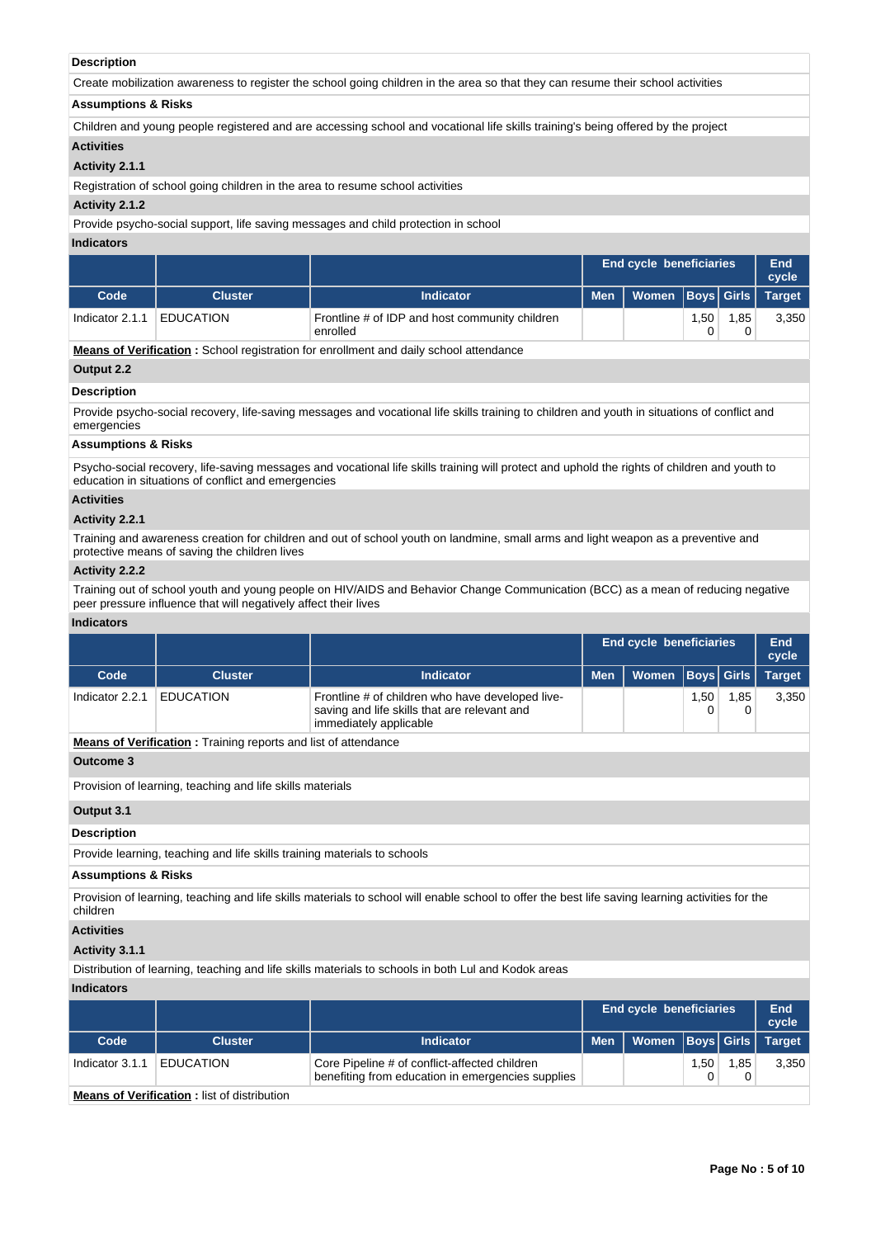# **Description**

Create mobilization awareness to register the school going children in the area so that they can resume their school activities

# **Assumptions & Risks**

Children and young people registered and are accessing school and vocational life skills training's being offered by the project

#### **Activities**

# **Activity 2.1.1**

Registration of school going children in the area to resume school activities

#### **Activity 2.1.2**

Provide psycho-social support, life saving messages and child protection in school

#### **Indicators**

|                 |                  | <b>End cycle beneficiaries</b>                             |  |                                     |      |      | End<br>cycle |
|-----------------|------------------|------------------------------------------------------------|--|-------------------------------------|------|------|--------------|
| Code            | Cluster          | <b>Indicator</b>                                           |  | Men   Women   Boys   Girls   Target |      |      |              |
| Indicator 2.1.1 | <b>EDUCATION</b> | Frontline # of IDP and host community children<br>enrolled |  |                                     | 1,50 | 1.85 | 3,350        |

**Means of Verification :** School registration for enrollment and daily school attendance

Indicator 3.1.1 EDUCATION Core Pipeline # of conflict-affected children

**Means of Verification :** list of distribution

## **Output 2.2**

#### **Description**

Provide psycho-social recovery, life-saving messages and vocational life skills training to children and youth in situations of conflict and emergencies

## **Assumptions & Risks**

Psycho-social recovery, life-saving messages and vocational life skills training will protect and uphold the rights of children and youth to education in situations of conflict and emergencies

# **Activities**

#### **Activity 2.2.1**

Training and awareness creation for children and out of school youth on landmine, small arms and light weapon as a preventive and protective means of saving the children lives

# **Activity 2.2.2**

Training out of school youth and young people on HIV/AIDS and Behavior Change Communication (BCC) as a mean of reducing negative peer pressure influence that will negatively affect their lives

#### **Indicators**

|                                                                       |                                                                          |                                                                                                                                                  | <b>End cycle beneficiaries</b> | End<br>cycle                   |             |                   |               |  |  |  |  |
|-----------------------------------------------------------------------|--------------------------------------------------------------------------|--------------------------------------------------------------------------------------------------------------------------------------------------|--------------------------------|--------------------------------|-------------|-------------------|---------------|--|--|--|--|
| Code                                                                  | <b>Cluster</b>                                                           | <b>Indicator</b>                                                                                                                                 | <b>Men</b>                     | <b>Women</b>                   | <b>Boys</b> | <b>Girls</b>      | <b>Target</b> |  |  |  |  |
| Indicator 2.2.1                                                       | <b>EDUCATION</b>                                                         | Frontline # of children who have developed live-<br>saving and life skills that are relevant and<br>immediately applicable                       |                                |                                | 1,50<br>0   | 1,85<br>0         | 3,350         |  |  |  |  |
| <b>Means of Verification:</b> Training reports and list of attendance |                                                                          |                                                                                                                                                  |                                |                                |             |                   |               |  |  |  |  |
| Outcome 3                                                             |                                                                          |                                                                                                                                                  |                                |                                |             |                   |               |  |  |  |  |
| Provision of learning, teaching and life skills materials             |                                                                          |                                                                                                                                                  |                                |                                |             |                   |               |  |  |  |  |
| Output 3.1                                                            |                                                                          |                                                                                                                                                  |                                |                                |             |                   |               |  |  |  |  |
| <b>Description</b>                                                    |                                                                          |                                                                                                                                                  |                                |                                |             |                   |               |  |  |  |  |
|                                                                       | Provide learning, teaching and life skills training materials to schools |                                                                                                                                                  |                                |                                |             |                   |               |  |  |  |  |
| <b>Assumptions &amp; Risks</b>                                        |                                                                          |                                                                                                                                                  |                                |                                |             |                   |               |  |  |  |  |
| children                                                              |                                                                          | Provision of learning, teaching and life skills materials to school will enable school to offer the best life saving learning activities for the |                                |                                |             |                   |               |  |  |  |  |
| <b>Activities</b>                                                     |                                                                          |                                                                                                                                                  |                                |                                |             |                   |               |  |  |  |  |
| Activity 3.1.1                                                        |                                                                          |                                                                                                                                                  |                                |                                |             |                   |               |  |  |  |  |
|                                                                       |                                                                          | Distribution of learning, teaching and life skills materials to schools in both Lul and Kodok areas                                              |                                |                                |             |                   |               |  |  |  |  |
| <b>Indicators</b>                                                     |                                                                          |                                                                                                                                                  |                                |                                |             |                   |               |  |  |  |  |
|                                                                       |                                                                          |                                                                                                                                                  |                                | <b>End cycle beneficiaries</b> |             |                   | End<br>cycle  |  |  |  |  |
| Code                                                                  | <b>Cluster</b>                                                           | <b>Indicator</b>                                                                                                                                 | <b>Men</b>                     | <b>Women</b>                   |             | <b>Boys</b> Girls | <b>Target</b> |  |  |  |  |

benefiting from education in emergencies supplies

1,50 0 1,85 0

**Page No : 5 of 10**

3,350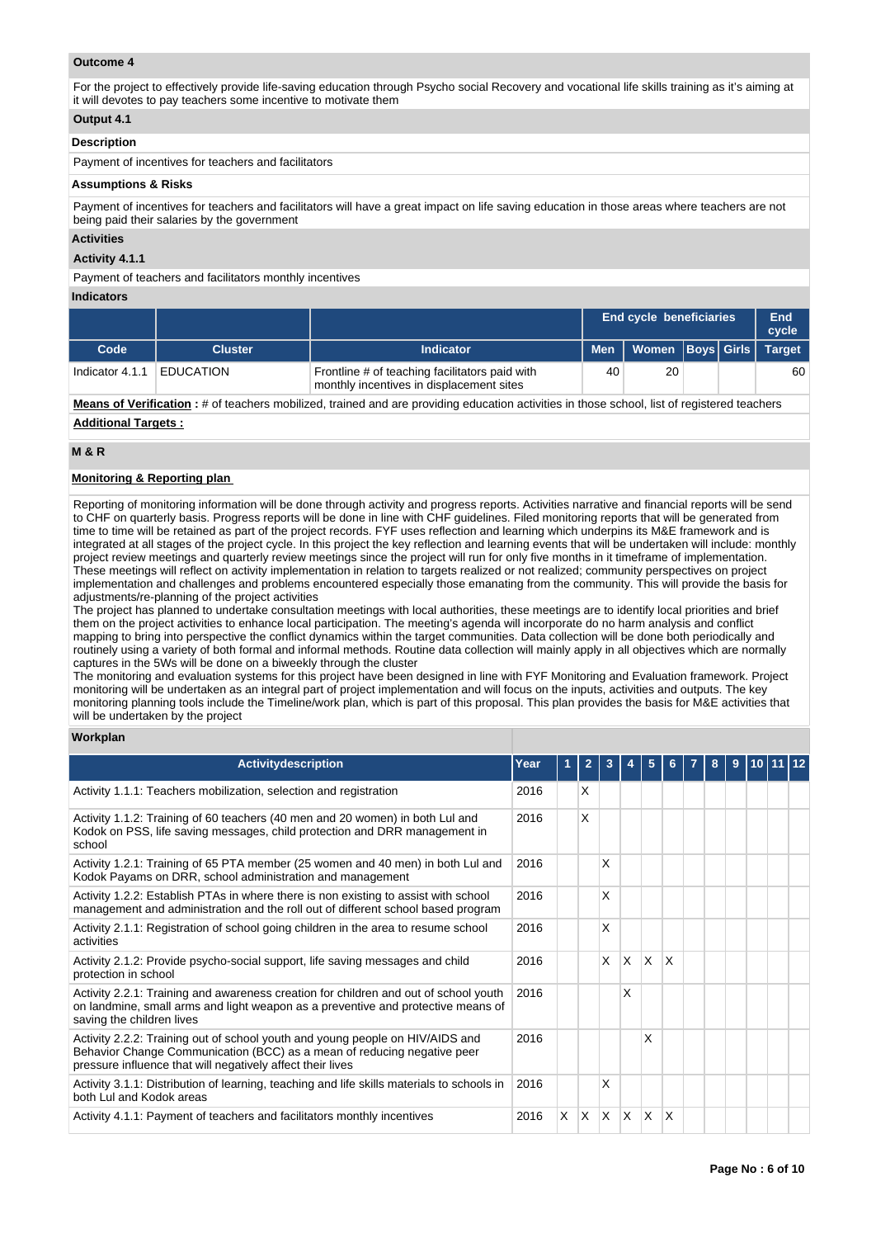# **Outcome 4**

For the project to effectively provide life-saving education through Psycho social Recovery and vocational life skills training as it's aiming at it will devotes to pay teachers some incentive to motivate them

# **Output 4.1**

#### **Description**

Payment of incentives for teachers and facilitators

#### **Assumptions & Risks**

Payment of incentives for teachers and facilitators will have a great impact on life saving education in those areas where teachers are not being paid their salaries by the government

#### **Activities**

**Activity 4.1.1** 

Payment of teachers and facilitators monthly incentives

#### **Indicators**

|                 |                  |                                                                                            | <b>End cycle beneficiaries</b> |                          |  |  | End<br>cycle  |
|-----------------|------------------|--------------------------------------------------------------------------------------------|--------------------------------|--------------------------|--|--|---------------|
| Code            | <b>Cluster</b>   | <b>Indicator</b>                                                                           |                                | Men   Women  Boys  Girls |  |  | <b>Target</b> |
| Indicator 4.1.1 | <b>EDUCATION</b> | Frontline # of teaching facilitators paid with<br>monthly incentives in displacement sites | 40                             | 20                       |  |  | 60            |

**Means of Verification :** # of teachers mobilized, trained and are providing education activities in those school, list of registered teachers

# **Additional Targets :**

# **M & R**

# **Monitoring & Reporting plan**

Reporting of monitoring information will be done through activity and progress reports. Activities narrative and financial reports will be send to CHF on quarterly basis. Progress reports will be done in line with CHF guidelines. Filed monitoring reports that will be generated from time to time will be retained as part of the project records. FYF uses reflection and learning which underpins its M&E framework and is integrated at all stages of the project cycle. In this project the key reflection and learning events that will be undertaken will include: monthly project review meetings and quarterly review meetings since the project will run for only five months in it timeframe of implementation. These meetings will reflect on activity implementation in relation to targets realized or not realized; community perspectives on project implementation and challenges and problems encountered especially those emanating from the community. This will provide the basis for adjustments/re-planning of the project activities

The project has planned to undertake consultation meetings with local authorities, these meetings are to identify local priorities and brief them on the project activities to enhance local participation. The meeting's agenda will incorporate do no harm analysis and conflict mapping to bring into perspective the conflict dynamics within the target communities. Data collection will be done both periodically and routinely using a variety of both formal and informal methods. Routine data collection will mainly apply in all objectives which are normally captures in the 5Ws will be done on a biweekly through the cluster

The monitoring and evaluation systems for this project have been designed in line with FYF Monitoring and Evaluation framework. Project monitoring will be undertaken as an integral part of project implementation and will focus on the inputs, activities and outputs. The key monitoring planning tools include the Timeline/work plan, which is part of this proposal. This plan provides the basis for M&E activities that will be undertaken by the project

#### **Workplan**

| <b>Activitydescription</b>                                                                                                                                                                                             | Year |   | $\mathbf{2}$ | 3        |                 | 5        | 6 | 8 | 9 | 10 |  |
|------------------------------------------------------------------------------------------------------------------------------------------------------------------------------------------------------------------------|------|---|--------------|----------|-----------------|----------|---|---|---|----|--|
| Activity 1.1.1: Teachers mobilization, selection and registration                                                                                                                                                      | 2016 |   | X            |          |                 |          |   |   |   |    |  |
| Activity 1.1.2: Training of 60 teachers (40 men and 20 women) in both Lul and<br>Kodok on PSS, life saving messages, child protection and DRR management in<br>school                                                  | 2016 |   | X            |          |                 |          |   |   |   |    |  |
| Activity 1.2.1: Training of 65 PTA member (25 women and 40 men) in both Lul and<br>Kodok Payams on DRR, school administration and management                                                                           | 2016 |   |              | X        |                 |          |   |   |   |    |  |
| Activity 1.2.2: Establish PTAs in where there is non existing to assist with school<br>management and administration and the roll out of different school based program                                                | 2016 |   |              | X        |                 |          |   |   |   |    |  |
| Activity 2.1.1: Registration of school going children in the area to resume school<br>activities                                                                                                                       | 2016 |   |              | X        |                 |          |   |   |   |    |  |
| Activity 2.1.2: Provide psycho-social support, life saving messages and child<br>protection in school                                                                                                                  | 2016 |   |              | $\times$ | ΙX.             | IX.      | X |   |   |    |  |
| Activity 2.2.1: Training and awareness creation for children and out of school youth<br>on landmine, small arms and light weapon as a preventive and protective means of<br>saving the children lives                  | 2016 |   |              |          | $\mathsf{\chi}$ |          |   |   |   |    |  |
| Activity 2.2.2: Training out of school youth and young people on HIV/AIDS and<br>Behavior Change Communication (BCC) as a mean of reducing negative peer<br>pressure influence that will negatively affect their lives | 2016 |   |              |          |                 | X        |   |   |   |    |  |
| Activity 3.1.1: Distribution of learning, teaching and life skills materials to schools in<br>both Lul and Kodok areas                                                                                                 | 2016 |   |              | X        |                 |          |   |   |   |    |  |
| Activity 4.1.1: Payment of teachers and facilitators monthly incentives                                                                                                                                                | 2016 | X | X.           | X.       | ΙX.             | $\times$ | x |   |   |    |  |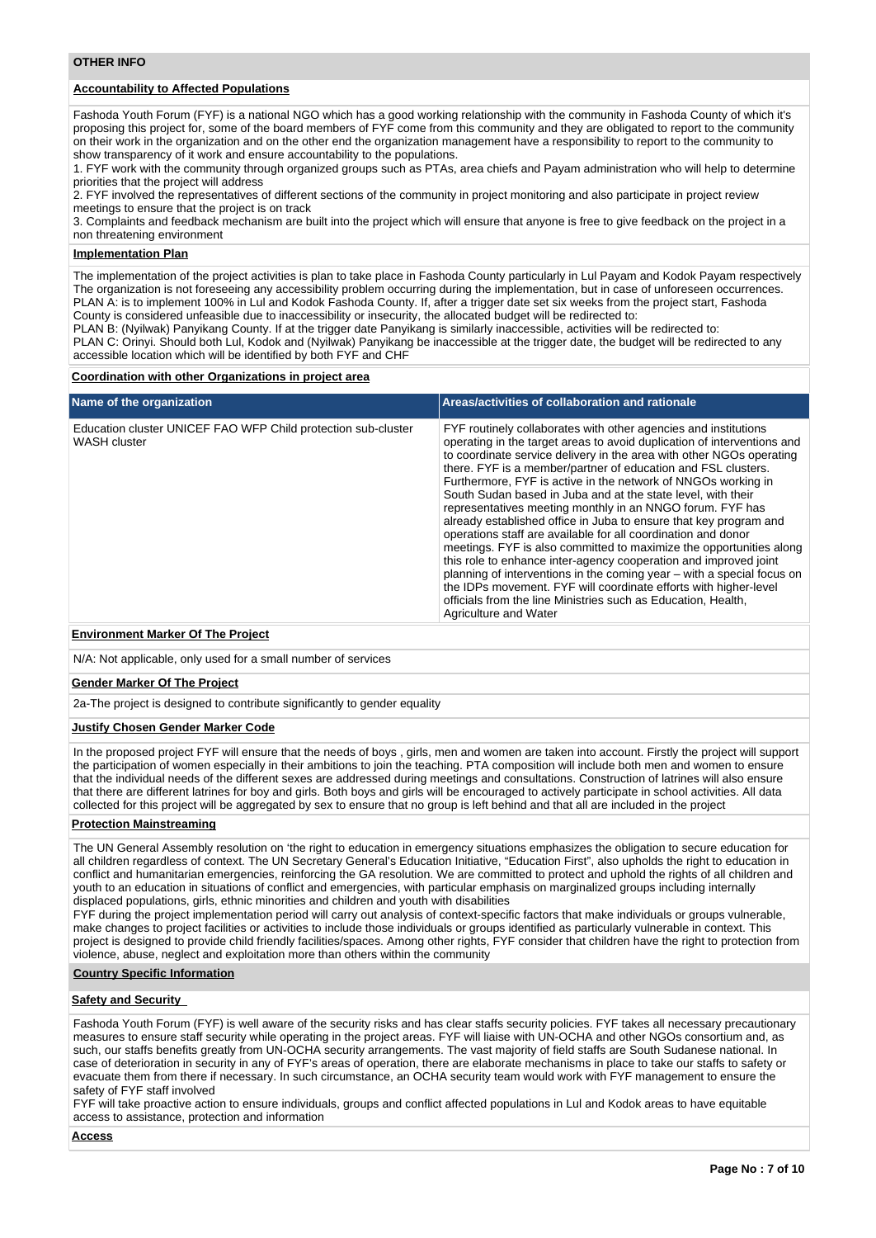# **Accountability to Affected Populations**

Fashoda Youth Forum (FYF) is a national NGO which has a good working relationship with the community in Fashoda County of which it's proposing this project for, some of the board members of FYF come from this community and they are obligated to report to the community on their work in the organization and on the other end the organization management have a responsibility to report to the community to show transparency of it work and ensure accountability to the populations.

1. FYF work with the community through organized groups such as PTAs, area chiefs and Payam administration who will help to determine priorities that the project will address

2. FYF involved the representatives of different sections of the community in project monitoring and also participate in project review meetings to ensure that the project is on track

3. Complaints and feedback mechanism are built into the project which will ensure that anyone is free to give feedback on the project in a non threatening environment

#### **Implementation Plan**

The implementation of the project activities is plan to take place in Fashoda County particularly in Lul Payam and Kodok Payam respectively The organization is not foreseeing any accessibility problem occurring during the implementation, but in case of unforeseen occurrences. PLAN A: is to implement 100% in Lul and Kodok Fashoda County. If, after a trigger date set six weeks from the project start, Fashoda County is considered unfeasible due to inaccessibility or insecurity, the allocated budget will be redirected to:

PLAN B: (Nyilwak) Panyikang County. If at the trigger date Panyikang is similarly inaccessible, activities will be redirected to: PLAN C: Orinyi. Should both Lul, Kodok and (Nyilwak) Panyikang be inaccessible at the trigger date, the budget will be redirected to any

accessible location which will be identified by both FYF and CHF

#### **Coordination with other Organizations in project area**

| Name of the organization                                                             | Areas/activities of collaboration and rationale                                                                                                                                                                                                                                                                                                                                                                                                                                                                                                                                                                                                                                                                                                                                                                                                                                                                                                                                                            |  |  |  |  |  |
|--------------------------------------------------------------------------------------|------------------------------------------------------------------------------------------------------------------------------------------------------------------------------------------------------------------------------------------------------------------------------------------------------------------------------------------------------------------------------------------------------------------------------------------------------------------------------------------------------------------------------------------------------------------------------------------------------------------------------------------------------------------------------------------------------------------------------------------------------------------------------------------------------------------------------------------------------------------------------------------------------------------------------------------------------------------------------------------------------------|--|--|--|--|--|
| Education cluster UNICEF FAO WFP Child protection sub-cluster<br><b>WASH cluster</b> | FYF routinely collaborates with other agencies and institutions<br>operating in the target areas to avoid duplication of interventions and<br>to coordinate service delivery in the area with other NGOs operating<br>there. FYF is a member/partner of education and FSL clusters.<br>Furthermore, FYF is active in the network of NNGOs working in<br>South Sudan based in Juba and at the state level, with their<br>representatives meeting monthly in an NNGO forum. FYF has<br>already established office in Juba to ensure that key program and<br>operations staff are available for all coordination and donor<br>meetings. FYF is also committed to maximize the opportunities along<br>this role to enhance inter-agency cooperation and improved joint<br>planning of interventions in the coming year – with a special focus on<br>the IDPs movement. FYF will coordinate efforts with higher-level<br>officials from the line Ministries such as Education, Health,<br>Agriculture and Water |  |  |  |  |  |

#### **Environment Marker Of The Project**

N/A: Not applicable, only used for a small number of services

#### **Gender Marker Of The Project**

2a-The project is designed to contribute significantly to gender equality

#### **Justify Chosen Gender Marker Code**

In the proposed project FYF will ensure that the needs of boys , girls, men and women are taken into account. Firstly the project will support the participation of women especially in their ambitions to join the teaching. PTA composition will include both men and women to ensure that the individual needs of the different sexes are addressed during meetings and consultations. Construction of latrines will also ensure that there are different latrines for boy and girls. Both boys and girls will be encouraged to actively participate in school activities. All data collected for this project will be aggregated by sex to ensure that no group is left behind and that all are included in the project

#### **Protection Mainstreaming**

The UN General Assembly resolution on 'the right to education in emergency situations emphasizes the obligation to secure education for all children regardless of context. The UN Secretary General's Education Initiative, "Education First", also upholds the right to education in conflict and humanitarian emergencies, reinforcing the GA resolution. We are committed to protect and uphold the rights of all children and youth to an education in situations of conflict and emergencies, with particular emphasis on marginalized groups including internally displaced populations, girls, ethnic minorities and children and youth with disabilities

FYF during the project implementation period will carry out analysis of context-specific factors that make individuals or groups vulnerable, make changes to project facilities or activities to include those individuals or groups identified as particularly vulnerable in context. This project is designed to provide child friendly facilities/spaces. Among other rights, FYF consider that children have the right to protection from violence, abuse, neglect and exploitation more than others within the community

#### **Country Specific Information**

#### **Safety and Security**

Fashoda Youth Forum (FYF) is well aware of the security risks and has clear staffs security policies. FYF takes all necessary precautionary measures to ensure staff security while operating in the project areas. FYF will liaise with UN-OCHA and other NGOs consortium and, as such, our staffs benefits greatly from UN-OCHA security arrangements. The vast majority of field staffs are South Sudanese national. In case of deterioration in security in any of FYF's areas of operation, there are elaborate mechanisms in place to take our staffs to safety or evacuate them from there if necessary. In such circumstance, an OCHA security team would work with FYF management to ensure the safety of FYF staff involved

FYF will take proactive action to ensure individuals, groups and conflict affected populations in Lul and Kodok areas to have equitable access to assistance, protection and information

**Access**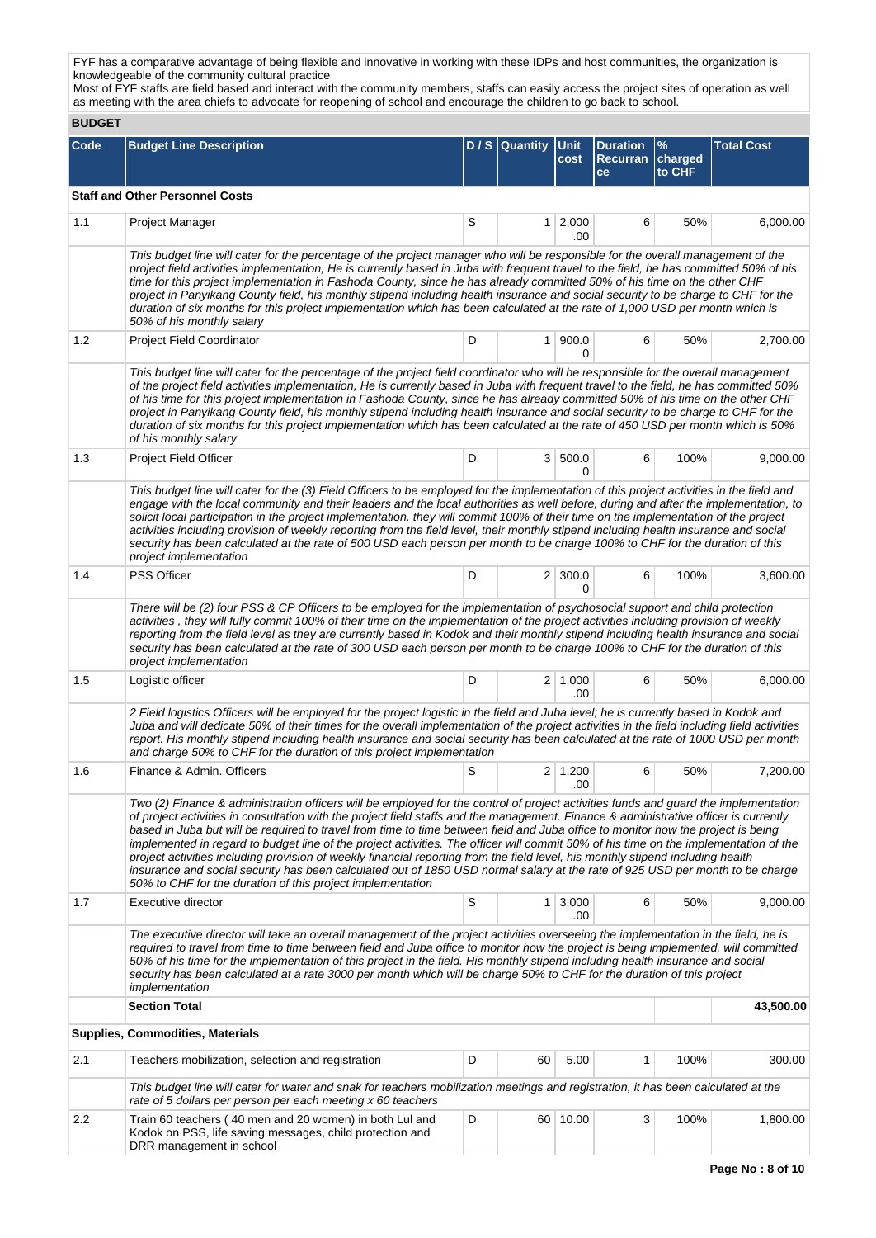FYF has a comparative advantage of being flexible and innovative in working with these IDPs and host communities, the organization is knowledgeable of the community cultural practice

Most of FYF staffs are field based and interact with the community members, staffs can easily access the project sites of operation as well as meeting with the area chiefs to advocate for reopening of school and encourage the children to go back to school.

**BUDGET**

| <b>BUDGEI</b> |                                                                                                                                                                                                                                                                                                                                                                                                                                                                                                                                                                                                                                                                                                                                                                                                                                                                                            |   |                  |                       |                                                 |                           |                   |  |  |  |  |
|---------------|--------------------------------------------------------------------------------------------------------------------------------------------------------------------------------------------------------------------------------------------------------------------------------------------------------------------------------------------------------------------------------------------------------------------------------------------------------------------------------------------------------------------------------------------------------------------------------------------------------------------------------------------------------------------------------------------------------------------------------------------------------------------------------------------------------------------------------------------------------------------------------------------|---|------------------|-----------------------|-------------------------------------------------|---------------------------|-------------------|--|--|--|--|
| <b>Code</b>   | <b>Budget Line Description</b>                                                                                                                                                                                                                                                                                                                                                                                                                                                                                                                                                                                                                                                                                                                                                                                                                                                             |   | $D / S$ Quantity | <b>Unit</b><br>cost   | <b>Duration</b><br><b>Recurran</b><br><b>ce</b> | $\%$<br>charged<br>to CHF | <b>Total Cost</b> |  |  |  |  |
|               | <b>Staff and Other Personnel Costs</b>                                                                                                                                                                                                                                                                                                                                                                                                                                                                                                                                                                                                                                                                                                                                                                                                                                                     |   |                  |                       |                                                 |                           |                   |  |  |  |  |
| 1.1           | <b>Project Manager</b>                                                                                                                                                                                                                                                                                                                                                                                                                                                                                                                                                                                                                                                                                                                                                                                                                                                                     | S |                  | $1 \mid 2,000$        | 6                                               | 50%                       | 6,000.00          |  |  |  |  |
|               |                                                                                                                                                                                                                                                                                                                                                                                                                                                                                                                                                                                                                                                                                                                                                                                                                                                                                            |   |                  | .00                   |                                                 |                           |                   |  |  |  |  |
|               | This budget line will cater for the percentage of the project manager who will be responsible for the overall management of the<br>project field activities implementation, He is currently based in Juba with frequent travel to the field, he has committed 50% of his<br>time for this project implementation in Fashoda County, since he has already committed 50% of his time on the other CHF<br>project in Panyikang County field, his monthly stipend including health insurance and social security to be charge to CHF for the<br>duration of six months for this project implementation which has been calculated at the rate of 1,000 USD per month which is<br>50% of his monthly salary                                                                                                                                                                                      |   |                  |                       |                                                 |                           |                   |  |  |  |  |
| 1.2           | <b>Project Field Coordinator</b>                                                                                                                                                                                                                                                                                                                                                                                                                                                                                                                                                                                                                                                                                                                                                                                                                                                           | D |                  | 1 900.0<br>0          | 6                                               | 50%                       | 2,700.00          |  |  |  |  |
|               | This budget line will cater for the percentage of the project field coordinator who will be responsible for the overall management<br>of the project field activities implementation, He is currently based in Juba with frequent travel to the field, he has committed 50%<br>of his time for this project implementation in Fashoda County, since he has already committed 50% of his time on the other CHF<br>project in Panyikang County field, his monthly stipend including health insurance and social security to be charge to CHF for the<br>duration of six months for this project implementation which has been calculated at the rate of 450 USD per month which is 50%<br>of his monthly salary                                                                                                                                                                              |   |                  |                       |                                                 |                           |                   |  |  |  |  |
| 1.3           | <b>Project Field Officer</b>                                                                                                                                                                                                                                                                                                                                                                                                                                                                                                                                                                                                                                                                                                                                                                                                                                                               | D |                  | 3 500.0<br>0          | 6                                               | 100%                      | 9,000.00          |  |  |  |  |
|               | This budget line will cater for the (3) Field Officers to be employed for the implementation of this project activities in the field and<br>engage with the local community and their leaders and the local authorities as well before, during and after the implementation, to<br>solicit local participation in the project implementation. they will commit 100% of their time on the implementation of the project<br>activities including provision of weekly reporting from the field level, their monthly stipend including health insurance and social<br>security has been calculated at the rate of 500 USD each person per month to be charge 100% to CHF for the duration of this<br>project implementation                                                                                                                                                                    |   |                  |                       |                                                 |                           |                   |  |  |  |  |
| 1.4           | <b>PSS Officer</b>                                                                                                                                                                                                                                                                                                                                                                                                                                                                                                                                                                                                                                                                                                                                                                                                                                                                         | D |                  | $2 \mid 300.0$<br>0   | 6                                               | 100%                      | 3,600.00          |  |  |  |  |
|               | There will be (2) four PSS & CP Officers to be employed for the implementation of psychosocial support and child protection<br>activities, they will fully commit 100% of their time on the implementation of the project activities including provision of weekly<br>reporting from the field level as they are currently based in Kodok and their monthly stipend including health insurance and social<br>security has been calculated at the rate of 300 USD each person per month to be charge 100% to CHF for the duration of this<br>project implementation                                                                                                                                                                                                                                                                                                                         |   |                  |                       |                                                 |                           |                   |  |  |  |  |
| 1.5           | Logistic officer                                                                                                                                                                                                                                                                                                                                                                                                                                                                                                                                                                                                                                                                                                                                                                                                                                                                           | D |                  | $2 \mid 1,000$<br>.00 | 6                                               | 50%                       | 6,000.00          |  |  |  |  |
|               | 2 Field logistics Officers will be employed for the project logistic in the field and Juba level; he is currently based in Kodok and<br>Juba and will dedicate 50% of their times for the overall implementation of the project activities in the field including field activities<br>report. His monthly stipend including health insurance and social security has been calculated at the rate of 1000 USD per month<br>and charge 50% to CHF for the duration of this project implementation                                                                                                                                                                                                                                                                                                                                                                                            |   |                  |                       |                                                 |                           |                   |  |  |  |  |
| 1.6           | Finance & Admin, Officers                                                                                                                                                                                                                                                                                                                                                                                                                                                                                                                                                                                                                                                                                                                                                                                                                                                                  | S |                  | $2 \mid 1,200$<br>.00 | 6                                               | 50%                       | 7,200.00          |  |  |  |  |
|               | Two (2) Finance & administration officers will be employed for the control of project activities funds and quard the implementation<br>of project activities in consultation with the project field staffs and the management. Finance & administrative officer is currently<br>based in Juba but will be required to travel from time to time between field and Juba office to monitor how the project is being<br>implemented in regard to budget line of the project activities. The officer will commit 50% of his time on the implementation of the<br>project activities including provision of weekly financial reporting from the field level, his monthly stipend including health<br>insurance and social security has been calculated out of 1850 USD normal salary at the rate of 925 USD per month to be charge<br>50% to CHF for the duration of this project implementation |   |                  |                       |                                                 |                           |                   |  |  |  |  |
| 1.7           | Executive director                                                                                                                                                                                                                                                                                                                                                                                                                                                                                                                                                                                                                                                                                                                                                                                                                                                                         | S |                  | $1 \mid 3,000$<br>.00 | 6                                               | 50%                       | 9,000.00          |  |  |  |  |
|               | The executive director will take an overall management of the project activities overseeing the implementation in the field, he is<br>required to travel from time to time between field and Juba office to monitor how the project is being implemented, will committed<br>50% of his time for the implementation of this project in the field. His monthly stipend including health insurance and social<br>security has been calculated at a rate 3000 per month which will be charge 50% to CHF for the duration of this project<br>implementation                                                                                                                                                                                                                                                                                                                                     |   |                  |                       |                                                 |                           |                   |  |  |  |  |
|               | <b>Section Total</b>                                                                                                                                                                                                                                                                                                                                                                                                                                                                                                                                                                                                                                                                                                                                                                                                                                                                       |   |                  |                       |                                                 |                           | 43,500.00         |  |  |  |  |
|               | <b>Supplies, Commodities, Materials</b>                                                                                                                                                                                                                                                                                                                                                                                                                                                                                                                                                                                                                                                                                                                                                                                                                                                    |   |                  |                       |                                                 |                           |                   |  |  |  |  |
| 2.1           | Teachers mobilization, selection and registration                                                                                                                                                                                                                                                                                                                                                                                                                                                                                                                                                                                                                                                                                                                                                                                                                                          | D | 60               | 5.00                  | 1                                               | 100%                      | 300.00            |  |  |  |  |
|               | This budget line will cater for water and snak for teachers mobilization meetings and registration, it has been calculated at the<br>rate of 5 dollars per person per each meeting x 60 teachers                                                                                                                                                                                                                                                                                                                                                                                                                                                                                                                                                                                                                                                                                           |   |                  |                       |                                                 |                           |                   |  |  |  |  |
| 2.2           | Train 60 teachers (40 men and 20 women) in both Lul and<br>Kodok on PSS, life saving messages, child protection and<br>DRR management in school                                                                                                                                                                                                                                                                                                                                                                                                                                                                                                                                                                                                                                                                                                                                            | D |                  | 60 10.00              | 3                                               | 100%                      | 1,800.00          |  |  |  |  |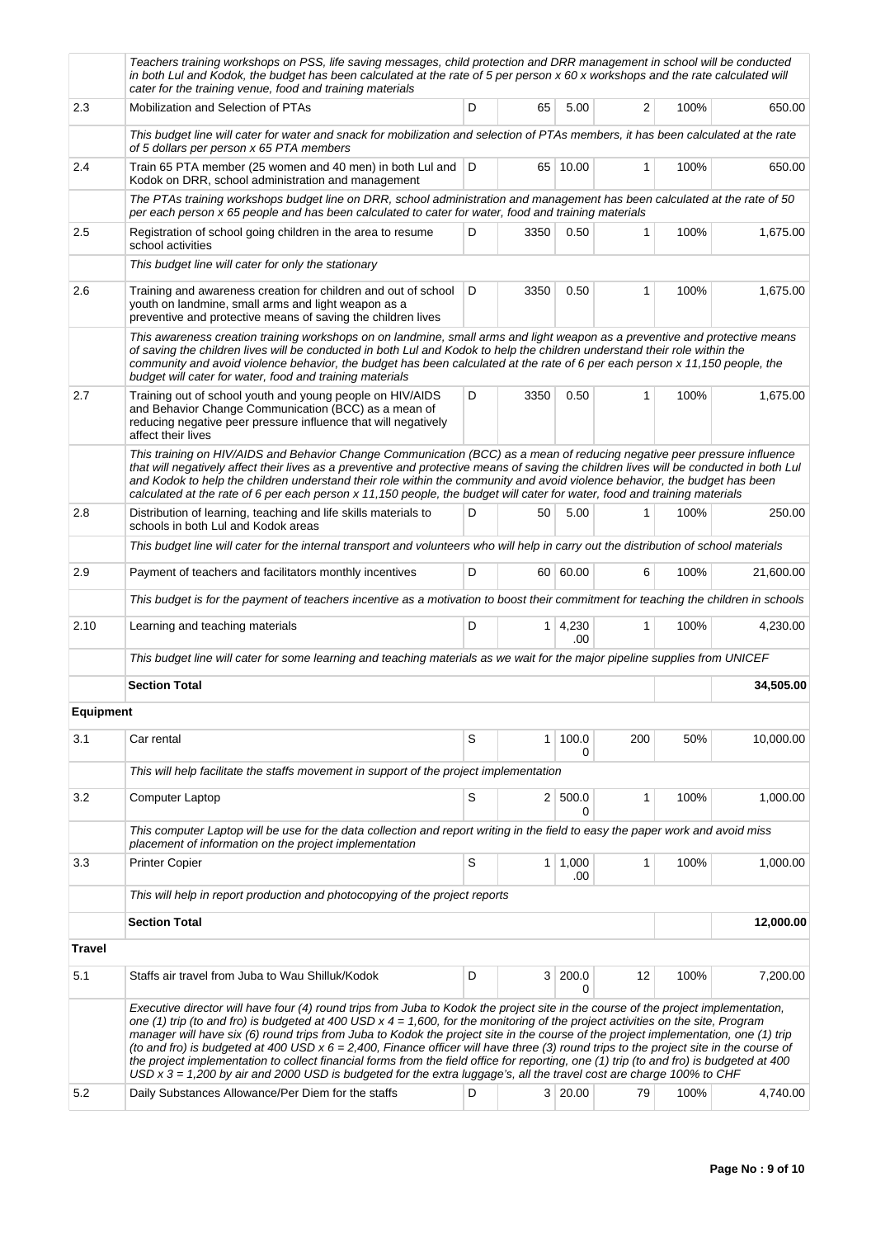|                  | Teachers training workshops on PSS, life saving messages, child protection and DRR management in school will be conducted<br>in both Lul and Kodok, the budget has been calculated at the rate of 5 per person x 60 x workshops and the rate calculated will<br>cater for the training venue, food and training materials                                                                                                                                                                                                      |                                                                                                                                                                                                                                                                                                                                                                                                                                                                                                                                                                                                                                                                                                                                                                                                                                                                                                                              |                |                       |              |      |           |  |  |  |  |  |  |
|------------------|--------------------------------------------------------------------------------------------------------------------------------------------------------------------------------------------------------------------------------------------------------------------------------------------------------------------------------------------------------------------------------------------------------------------------------------------------------------------------------------------------------------------------------|------------------------------------------------------------------------------------------------------------------------------------------------------------------------------------------------------------------------------------------------------------------------------------------------------------------------------------------------------------------------------------------------------------------------------------------------------------------------------------------------------------------------------------------------------------------------------------------------------------------------------------------------------------------------------------------------------------------------------------------------------------------------------------------------------------------------------------------------------------------------------------------------------------------------------|----------------|-----------------------|--------------|------|-----------|--|--|--|--|--|--|
| 2.3              | Mobilization and Selection of PTAs                                                                                                                                                                                                                                                                                                                                                                                                                                                                                             | D                                                                                                                                                                                                                                                                                                                                                                                                                                                                                                                                                                                                                                                                                                                                                                                                                                                                                                                            | 65             | 5.00                  | 2            | 100% | 650.00    |  |  |  |  |  |  |
|                  | This budget line will cater for water and snack for mobilization and selection of PTAs members, it has been calculated at the rate<br>of 5 dollars per person x 65 PTA members                                                                                                                                                                                                                                                                                                                                                 |                                                                                                                                                                                                                                                                                                                                                                                                                                                                                                                                                                                                                                                                                                                                                                                                                                                                                                                              |                |                       |              |      |           |  |  |  |  |  |  |
| 2.4              | Train 65 PTA member (25 women and 40 men) in both Lul and   D<br>Kodok on DRR, school administration and management                                                                                                                                                                                                                                                                                                                                                                                                            |                                                                                                                                                                                                                                                                                                                                                                                                                                                                                                                                                                                                                                                                                                                                                                                                                                                                                                                              |                | 65 10.00              | 1            | 100% | 650.00    |  |  |  |  |  |  |
|                  | The PTAs training workshops budget line on DRR, school administration and management has been calculated at the rate of 50<br>per each person x 65 people and has been calculated to cater for water, food and training materials                                                                                                                                                                                                                                                                                              |                                                                                                                                                                                                                                                                                                                                                                                                                                                                                                                                                                                                                                                                                                                                                                                                                                                                                                                              |                |                       |              |      |           |  |  |  |  |  |  |
| 2.5              | Registration of school going children in the area to resume<br>school activities                                                                                                                                                                                                                                                                                                                                                                                                                                               | D                                                                                                                                                                                                                                                                                                                                                                                                                                                                                                                                                                                                                                                                                                                                                                                                                                                                                                                            | 3350           | 0.50                  | 1            | 100% | 1,675.00  |  |  |  |  |  |  |
|                  | This budget line will cater for only the stationary                                                                                                                                                                                                                                                                                                                                                                                                                                                                            |                                                                                                                                                                                                                                                                                                                                                                                                                                                                                                                                                                                                                                                                                                                                                                                                                                                                                                                              |                |                       |              |      |           |  |  |  |  |  |  |
| 2.6              | Training and awareness creation for children and out of school<br>youth on landmine, small arms and light weapon as a<br>preventive and protective means of saving the children lives                                                                                                                                                                                                                                                                                                                                          | D                                                                                                                                                                                                                                                                                                                                                                                                                                                                                                                                                                                                                                                                                                                                                                                                                                                                                                                            | 3350           | 0.50                  | 1            | 100% | 1,675.00  |  |  |  |  |  |  |
|                  | This awareness creation training workshops on on landmine, small arms and light weapon as a preventive and protective means<br>of saving the children lives will be conducted in both Lul and Kodok to help the children understand their role within the<br>community and avoid violence behavior, the budget has been calculated at the rate of 6 per each person x 11,150 people, the<br>budget will cater for water, food and training materials                                                                           |                                                                                                                                                                                                                                                                                                                                                                                                                                                                                                                                                                                                                                                                                                                                                                                                                                                                                                                              |                |                       |              |      |           |  |  |  |  |  |  |
| 2.7              | Training out of school youth and young people on HIV/AIDS<br>and Behavior Change Communication (BCC) as a mean of<br>reducing negative peer pressure influence that will negatively<br>affect their lives                                                                                                                                                                                                                                                                                                                      | D                                                                                                                                                                                                                                                                                                                                                                                                                                                                                                                                                                                                                                                                                                                                                                                                                                                                                                                            | 3350           | 0.50                  | $\mathbf{1}$ | 100% | 1,675.00  |  |  |  |  |  |  |
|                  | This training on HIV/AIDS and Behavior Change Communication (BCC) as a mean of reducing negative peer pressure influence<br>that will negatively affect their lives as a preventive and protective means of saving the children lives will be conducted in both Lul<br>and Kodok to help the children understand their role within the community and avoid violence behavior, the budget has been<br>calculated at the rate of 6 per each person x 11,150 people, the budget will cater for water, food and training materials |                                                                                                                                                                                                                                                                                                                                                                                                                                                                                                                                                                                                                                                                                                                                                                                                                                                                                                                              |                |                       |              |      |           |  |  |  |  |  |  |
| 2.8              | Distribution of learning, teaching and life skills materials to<br>schools in both Lul and Kodok areas                                                                                                                                                                                                                                                                                                                                                                                                                         | D                                                                                                                                                                                                                                                                                                                                                                                                                                                                                                                                                                                                                                                                                                                                                                                                                                                                                                                            | 50             | 5.00                  | 1            | 100% | 250.00    |  |  |  |  |  |  |
|                  | This budget line will cater for the internal transport and volunteers who will help in carry out the distribution of school materials                                                                                                                                                                                                                                                                                                                                                                                          |                                                                                                                                                                                                                                                                                                                                                                                                                                                                                                                                                                                                                                                                                                                                                                                                                                                                                                                              |                |                       |              |      |           |  |  |  |  |  |  |
| 2.9              | Payment of teachers and facilitators monthly incentives                                                                                                                                                                                                                                                                                                                                                                                                                                                                        | D                                                                                                                                                                                                                                                                                                                                                                                                                                                                                                                                                                                                                                                                                                                                                                                                                                                                                                                            |                | 60 60.00              | 6            | 100% | 21,600.00 |  |  |  |  |  |  |
|                  | This budget is for the payment of teachers incentive as a motivation to boost their commitment for teaching the children in schools                                                                                                                                                                                                                                                                                                                                                                                            |                                                                                                                                                                                                                                                                                                                                                                                                                                                                                                                                                                                                                                                                                                                                                                                                                                                                                                                              |                |                       |              |      |           |  |  |  |  |  |  |
| 2.10             | Learning and teaching materials                                                                                                                                                                                                                                                                                                                                                                                                                                                                                                | D                                                                                                                                                                                                                                                                                                                                                                                                                                                                                                                                                                                                                                                                                                                                                                                                                                                                                                                            | 1 <sup>1</sup> | 4,230<br>.00          | 1            | 100% | 4,230.00  |  |  |  |  |  |  |
|                  | This budget line will cater for some learning and teaching materials as we wait for the major pipeline supplies from UNICEF                                                                                                                                                                                                                                                                                                                                                                                                    |                                                                                                                                                                                                                                                                                                                                                                                                                                                                                                                                                                                                                                                                                                                                                                                                                                                                                                                              |                |                       |              |      |           |  |  |  |  |  |  |
|                  | <b>Section Total</b>                                                                                                                                                                                                                                                                                                                                                                                                                                                                                                           |                                                                                                                                                                                                                                                                                                                                                                                                                                                                                                                                                                                                                                                                                                                                                                                                                                                                                                                              |                |                       |              |      | 34,505.00 |  |  |  |  |  |  |
| <b>Equipment</b> |                                                                                                                                                                                                                                                                                                                                                                                                                                                                                                                                |                                                                                                                                                                                                                                                                                                                                                                                                                                                                                                                                                                                                                                                                                                                                                                                                                                                                                                                              |                |                       |              |      |           |  |  |  |  |  |  |
| 3.1              | Car rental                                                                                                                                                                                                                                                                                                                                                                                                                                                                                                                     | S                                                                                                                                                                                                                                                                                                                                                                                                                                                                                                                                                                                                                                                                                                                                                                                                                                                                                                                            | 1              | 100.0<br>0            | 200          | 50%  | 10,000.00 |  |  |  |  |  |  |
|                  | This will help facilitate the staffs movement in support of the project implementation                                                                                                                                                                                                                                                                                                                                                                                                                                         |                                                                                                                                                                                                                                                                                                                                                                                                                                                                                                                                                                                                                                                                                                                                                                                                                                                                                                                              |                |                       |              |      |           |  |  |  |  |  |  |
| 3.2              | Computer Laptop                                                                                                                                                                                                                                                                                                                                                                                                                                                                                                                | S                                                                                                                                                                                                                                                                                                                                                                                                                                                                                                                                                                                                                                                                                                                                                                                                                                                                                                                            |                | 2   500.0<br>0        | 1            | 100% | 1,000.00  |  |  |  |  |  |  |
|                  |                                                                                                                                                                                                                                                                                                                                                                                                                                                                                                                                | This computer Laptop will be use for the data collection and report writing in the field to easy the paper work and avoid miss                                                                                                                                                                                                                                                                                                                                                                                                                                                                                                                                                                                                                                                                                                                                                                                               |                |                       |              |      |           |  |  |  |  |  |  |
| 3.3              | placement of information on the project implementation<br><b>Printer Copier</b>                                                                                                                                                                                                                                                                                                                                                                                                                                                | S                                                                                                                                                                                                                                                                                                                                                                                                                                                                                                                                                                                                                                                                                                                                                                                                                                                                                                                            |                | $1 \mid 1,000$<br>.00 | 1            | 100% | 1,000.00  |  |  |  |  |  |  |
|                  | This will help in report production and photocopying of the project reports                                                                                                                                                                                                                                                                                                                                                                                                                                                    |                                                                                                                                                                                                                                                                                                                                                                                                                                                                                                                                                                                                                                                                                                                                                                                                                                                                                                                              |                |                       |              |      |           |  |  |  |  |  |  |
|                  | <b>Section Total</b>                                                                                                                                                                                                                                                                                                                                                                                                                                                                                                           |                                                                                                                                                                                                                                                                                                                                                                                                                                                                                                                                                                                                                                                                                                                                                                                                                                                                                                                              |                |                       |              |      | 12,000.00 |  |  |  |  |  |  |
| <b>Travel</b>    |                                                                                                                                                                                                                                                                                                                                                                                                                                                                                                                                |                                                                                                                                                                                                                                                                                                                                                                                                                                                                                                                                                                                                                                                                                                                                                                                                                                                                                                                              |                |                       |              |      |           |  |  |  |  |  |  |
| 5.1              | Staffs air travel from Juba to Wau Shilluk/Kodok                                                                                                                                                                                                                                                                                                                                                                                                                                                                               | D                                                                                                                                                                                                                                                                                                                                                                                                                                                                                                                                                                                                                                                                                                                                                                                                                                                                                                                            | 3 <sup>1</sup> | 200.0<br>0            | 12           | 100% | 7,200.00  |  |  |  |  |  |  |
| 5.2              |                                                                                                                                                                                                                                                                                                                                                                                                                                                                                                                                | Executive director will have four (4) round trips from Juba to Kodok the project site in the course of the project implementation,<br>one (1) trip (to and fro) is budgeted at 400 USD $x$ 4 = 1,600, for the monitoring of the project activities on the site, Program<br>manager will have six (6) round trips from Juba to Kodok the project site in the course of the project implementation, one (1) trip<br>(to and fro) is budgeted at 400 USD $x 6 = 2,400$ , Finance officer will have three (3) round trips to the project site in the course of<br>the project implementation to collect financial forms from the field office for reporting, one (1) trip (to and fro) is budgeted at 400<br>USD x 3 = 1,200 by air and 2000 USD is budgeted for the extra luggage's, all the travel cost are charge 100% to CHF<br>3 20.00<br>Daily Substances Allowance/Per Diem for the staffs<br>D<br>100%<br>4,740.00<br>79 |                |                       |              |      |           |  |  |  |  |  |  |
|                  |                                                                                                                                                                                                                                                                                                                                                                                                                                                                                                                                |                                                                                                                                                                                                                                                                                                                                                                                                                                                                                                                                                                                                                                                                                                                                                                                                                                                                                                                              |                |                       |              |      |           |  |  |  |  |  |  |